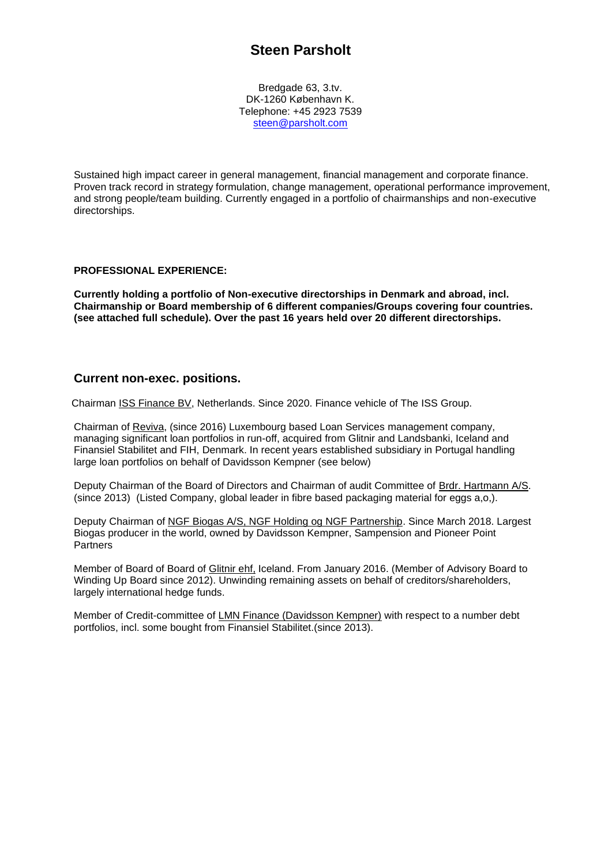# **Steen Parsholt**

Bredgade 63, 3.tv. DK-1260 København K. Telephone: +45 2923 7539 [steen@parsholt.com](mailto:steen@parsholt.com)

Sustained high impact career in general management, financial management and corporate finance. Proven track record in strategy formulation, change management, operational performance improvement, and strong people/team building. Currently engaged in a portfolio of chairmanships and non-executive directorships.

## **PROFESSIONAL EXPERIENCE:**

**Currently holding a portfolio of Non-executive directorships in Denmark and abroad, incl. Chairmanship or Board membership of 6 different companies/Groups covering four countries. (see attached full schedule). Over the past 16 years held over 20 different directorships.**

# **Current non-exec. positions.**

Chairman ISS Finance BV, Netherlands. Since 2020. Finance vehicle of The ISS Group.

Chairman of Reviva, (since 2016) Luxembourg based Loan Services management company, managing significant loan portfolios in run-off, acquired from Glitnir and Landsbanki, Iceland and Finansiel Stabilitet and FIH, Denmark. In recent years established subsidiary in Portugal handling large loan portfolios on behalf of Davidsson Kempner (see below)

Deputy Chairman of the Board of Directors and Chairman of audit Committee of Brdr. Hartmann A/S. (since 2013) (Listed Company, global leader in fibre based packaging material for eggs a,o,).

Deputy Chairman of NGF Biogas A/S, NGF Holding og NGF Partnership. Since March 2018. Largest Biogas producer in the world, owned by Davidsson Kempner, Sampension and Pioneer Point **Partners** 

Member of Board of Board of Glitnir ehf, Iceland. From January 2016. (Member of Advisory Board to Winding Up Board since 2012). Unwinding remaining assets on behalf of creditors/shareholders, largely international hedge funds.

Member of Credit-committee of LMN Finance (Davidsson Kempner) with respect to a number debt portfolios, incl. some bought from Finansiel Stabilitet.(since 2013).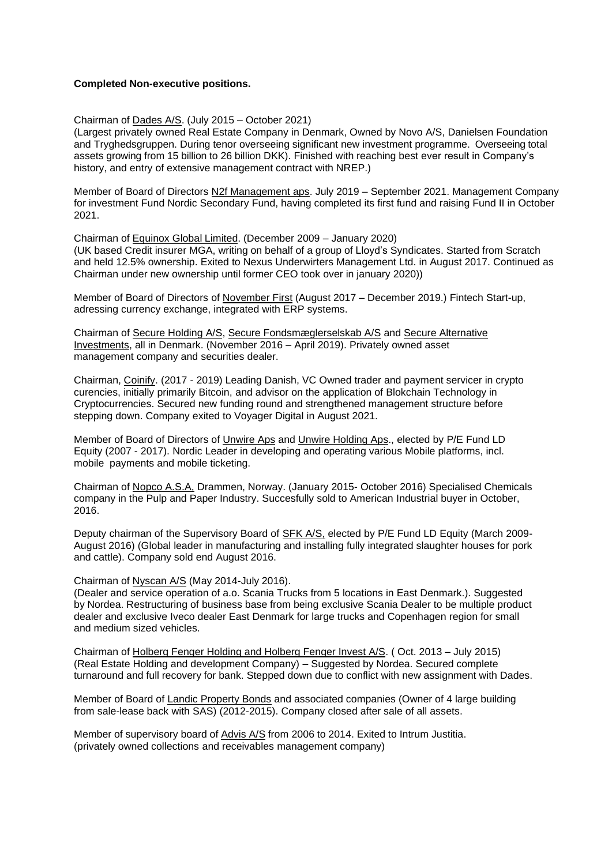#### **Completed Non-executive positions.**

Chairman of Dades A/S. (July 2015 – October 2021)

(Largest privately owned Real Estate Company in Denmark, Owned by Novo A/S, Danielsen Foundation and Tryghedsgruppen. During tenor overseeing significant new investment programme. Overseeing total assets growing from 15 billion to 26 billion DKK). Finished with reaching best ever result in Company's history, and entry of extensive management contract with NREP.)

Member of Board of Directors N2f Management aps. July 2019 – September 2021. Management Company for investment Fund Nordic Secondary Fund, having completed its first fund and raising Fund II in October 2021.

Chairman of Equinox Global Limited. (December 2009 – January 2020) (UK based Credit insurer MGA, writing on behalf of a group of Lloyd's Syndicates. Started from Scratch and held 12.5% ownership. Exited to Nexus Underwirters Management Ltd. in August 2017. Continued as Chairman under new ownership until former CEO took over in january 2020))

Member of Board of Directors of November First (August 2017 – December 2019.) Fintech Start-up, adressing currency exchange, integrated with ERP systems.

Chairman of Secure Holding A/S, Secure Fondsmæglerselskab A/S and Secure Alternative Investments, all in Denmark. (November 2016 – April 2019). Privately owned asset management company and securities dealer.

Chairman, Coinify. (2017 - 2019) Leading Danish, VC Owned trader and payment servicer in crypto curencies, initially primarily Bitcoin, and advisor on the application of Blokchain Technology in Cryptocurrencies. Secured new funding round and strengthened management structure before stepping down. Company exited to Voyager Digital in August 2021.

Member of Board of Directors of Unwire Aps and Unwire Holding Aps., elected by P/E Fund LD Equity (2007 - 2017). Nordic Leader in developing and operating various Mobile platforms, incl. mobile payments and mobile ticketing.

Chairman of Nopco A.S.A, Drammen, Norway. (January 2015- October 2016) Specialised Chemicals company in the Pulp and Paper Industry. Succesfully sold to American Industrial buyer in October, 2016.

Deputy chairman of the Supervisory Board of SFK A/S, elected by P/E Fund LD Equity (March 2009- August 2016) (Global leader in manufacturing and installing fully integrated slaughter houses for pork and cattle). Company sold end August 2016.

#### Chairman of Nyscan A/S (May 2014-July 2016).

(Dealer and service operation of a.o. Scania Trucks from 5 locations in East Denmark.). Suggested by Nordea. Restructuring of business base from being exclusive Scania Dealer to be multiple product dealer and exclusive Iveco dealer East Denmark for large trucks and Copenhagen region for small and medium sized vehicles.

Chairman of Holberg Fenger Holding and Holberg Fenger Invest A/S. ( Oct. 2013 – July 2015) (Real Estate Holding and development Company) – Suggested by Nordea. Secured complete turnaround and full recovery for bank. Stepped down due to conflict with new assignment with Dades.

Member of Board of Landic Property Bonds and associated companies (Owner of 4 large building from sale-lease back with SAS) (2012-2015). Company closed after sale of all assets.

Member of supervisory board of Advis A/S from 2006 to 2014. Exited to Intrum Justitia. (privately owned collections and receivables management company)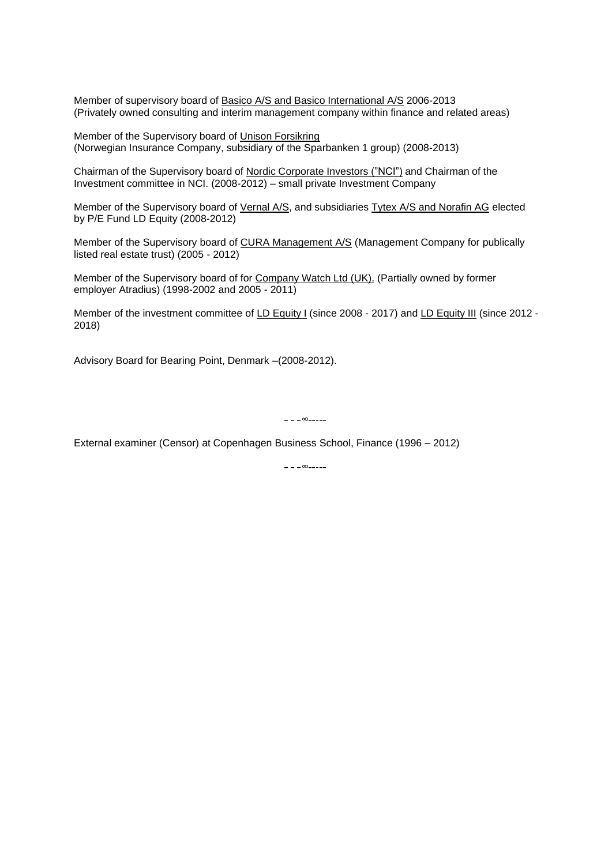Member of supervisory board of Basico A/S and Basico International A/S 2006-2013 (Privately owned consulting and interim management company within finance and related areas)

Member of the Supervisory board of Unison Forsikring (Norwegian Insurance Company, subsidiary of the Sparbanken 1 group) (2008-2013)

Chairman of the Supervisory board of Nordic Corporate Investors ("NCI") and Chairman of the Investment committee in NCI. (2008-2012) – small private Investment Company

Member of the Supervisory board of Vernal A/S, and subsidiaries Tytex A/S and Norafin AG elected by P/E Fund LD Equity (2008-2012)

Member of the Supervisory board of CURA Management A/S (Management Company for publically listed real estate trust) (2005 - 2012)

Member of the Supervisory board of for Company Watch Ltd (UK). (Partially owned by former employer Atradius) (1998-2002 and 2005 - 2011)

Member of the investment committee of LD Equity I (since 2008 - 2017) and LD Equity III (since 2012 -2018)

Advisory Board for Bearing Point, Denmark –(2008-2012).

 $=$   $=$   $\infty$  $=$  $=$  $=$  $=$  $=$  $=$ 

External examiner (Censor) at Copenhagen Business School, Finance (1996 – 2012)

– – – ∞-----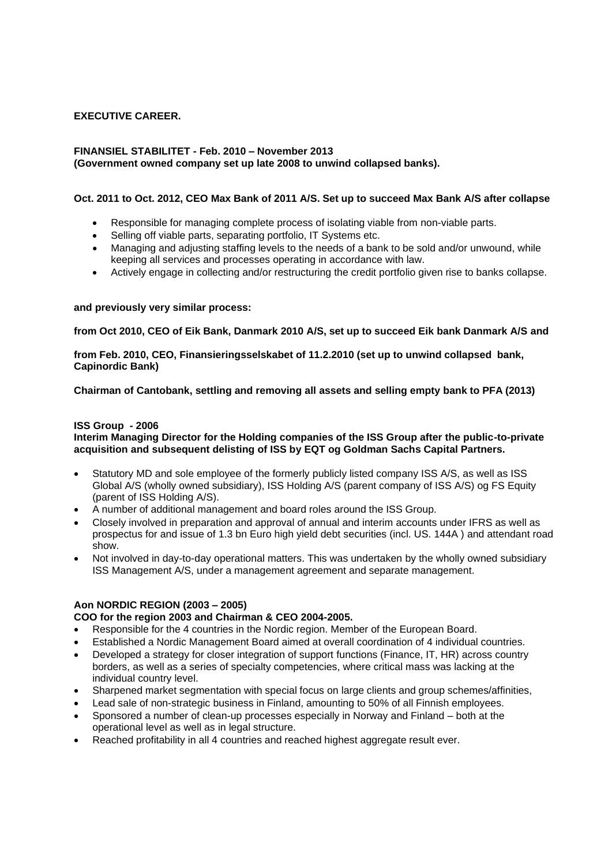# **EXECUTIVE CAREER.**

# **FINANSIEL STABILITET - Feb. 2010 – November 2013**

# **(Government owned company set up late 2008 to unwind collapsed banks).**

## **Oct. 2011 to Oct. 2012, CEO Max Bank of 2011 A/S. Set up to succeed Max Bank A/S after collapse**

- Responsible for managing complete process of isolating viable from non-viable parts.
- Selling off viable parts, separating portfolio, IT Systems etc.
- Managing and adjusting staffing levels to the needs of a bank to be sold and/or unwound, while keeping all services and processes operating in accordance with law.
- Actively engage in collecting and/or restructuring the credit portfolio given rise to banks collapse.

## **and previously very similar process:**

**from Oct 2010, CEO of Eik Bank, Danmark 2010 A/S, set up to succeed Eik bank Danmark A/S and**

**from Feb. 2010, CEO, Finansieringsselskabet of 11.2.2010 (set up to unwind collapsed bank, Capinordic Bank)**

**Chairman of Cantobank, settling and removing all assets and selling empty bank to PFA (2013)**

## **ISS Group - 2006**

**Interim Managing Director for the Holding companies of the ISS Group after the public-to-private acquisition and subsequent delisting of ISS by EQT og Goldman Sachs Capital Partners.**

- Statutory MD and sole employee of the formerly publicly listed company ISS A/S, as well as ISS Global A/S (wholly owned subsidiary), ISS Holding A/S (parent company of ISS A/S) og FS Equity (parent of ISS Holding A/S).
- A number of additional management and board roles around the ISS Group.
- Closely involved in preparation and approval of annual and interim accounts under IFRS as well as prospectus for and issue of 1.3 bn Euro high yield debt securities (incl. US. 144A ) and attendant road show.
- Not involved in day-to-day operational matters. This was undertaken by the wholly owned subsidiary ISS Management A/S, under a management agreement and separate management.

# **Aon NORDIC REGION (2003 – 2005)**

# **COO for the region 2003 and Chairman & CEO 2004-2005.**

- Responsible for the 4 countries in the Nordic region. Member of the European Board.
- Established a Nordic Management Board aimed at overall coordination of 4 individual countries.
- Developed a strategy for closer integration of support functions (Finance, IT, HR) across country borders, as well as a series of specialty competencies, where critical mass was lacking at the individual country level.
- Sharpened market segmentation with special focus on large clients and group schemes/affinities,
- Lead sale of non-strategic business in Finland, amounting to 50% of all Finnish employees.
- Sponsored a number of clean-up processes especially in Norway and Finland both at the operational level as well as in legal structure.
- Reached profitability in all 4 countries and reached highest aggregate result ever.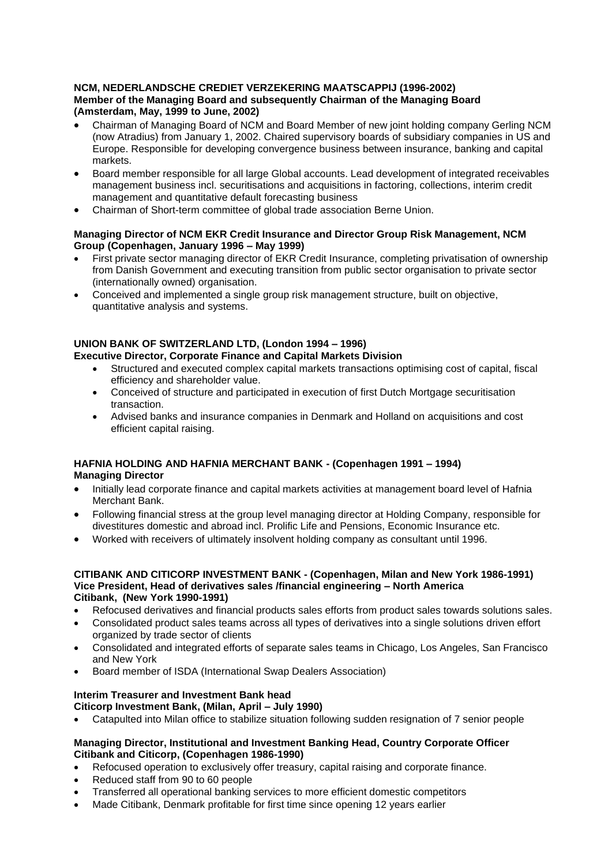# **NCM, NEDERLANDSCHE CREDIET VERZEKERING MAATSCAPPIJ (1996-2002) Member of the Managing Board and subsequently Chairman of the Managing Board (Amsterdam, May, 1999 to June, 2002)**

- Chairman of Managing Board of NCM and Board Member of new joint holding company Gerling NCM (now Atradius) from January 1, 2002. Chaired supervisory boards of subsidiary companies in US and Europe. Responsible for developing convergence business between insurance, banking and capital markets.
- Board member responsible for all large Global accounts. Lead development of integrated receivables management business incl. securitisations and acquisitions in factoring, collections, interim credit management and quantitative default forecasting business
- Chairman of Short-term committee of global trade association Berne Union.

## **Managing Director of NCM EKR Credit Insurance and Director Group Risk Management, NCM Group (Copenhagen, January 1996 – May 1999)**

- First private sector managing director of EKR Credit Insurance, completing privatisation of ownership from Danish Government and executing transition from public sector organisation to private sector (internationally owned) organisation.
- Conceived and implemented a single group risk management structure, built on objective, quantitative analysis and systems.

#### **UNION BANK OF SWITZERLAND LTD, (London 1994 – 1996) Executive Director, Corporate Finance and Capital Markets Division**

- Structured and executed complex capital markets transactions optimising cost of capital, fiscal efficiency and shareholder value.
- Conceived of structure and participated in execution of first Dutch Mortgage securitisation transaction.
- Advised banks and insurance companies in Denmark and Holland on acquisitions and cost efficient capital raising.

# **HAFNIA HOLDING AND HAFNIA MERCHANT BANK - (Copenhagen 1991 – 1994)**

**Managing Director**

- Initially lead corporate finance and capital markets activities at management board level of Hafnia Merchant Bank.
- Following financial stress at the group level managing director at Holding Company, responsible for divestitures domestic and abroad incl. Prolific Life and Pensions, Economic Insurance etc.
- Worked with receivers of ultimately insolvent holding company as consultant until 1996.

#### **CITIBANK AND CITICORP INVESTMENT BANK - (Copenhagen, Milan and New York 1986-1991) Vice President, Head of derivatives sales /financial engineering – North America Citibank, (New York 1990-1991)**

- Refocused derivatives and financial products sales efforts from product sales towards solutions sales.
- Consolidated product sales teams across all types of derivatives into a single solutions driven effort organized by trade sector of clients
- Consolidated and integrated efforts of separate sales teams in Chicago, Los Angeles, San Francisco and New York
- Board member of ISDA (International Swap Dealers Association)

# **Interim Treasurer and Investment Bank head**

# **Citicorp Investment Bank, (Milan, April – July 1990)**

• Catapulted into Milan office to stabilize situation following sudden resignation of 7 senior people

## **Managing Director, Institutional and Investment Banking Head, Country Corporate Officer Citibank and Citicorp, (Copenhagen 1986-1990)**

- Refocused operation to exclusively offer treasury, capital raising and corporate finance.
- Reduced staff from 90 to 60 people
- Transferred all operational banking services to more efficient domestic competitors
- Made Citibank, Denmark profitable for first time since opening 12 years earlier